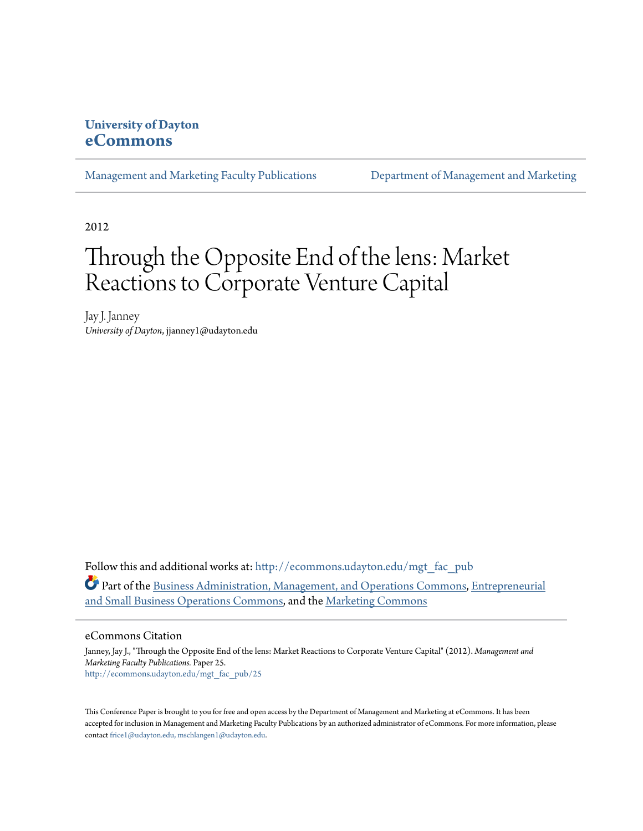## **University of Dayton [eCommons](http://ecommons.udayton.edu?utm_source=ecommons.udayton.edu%2Fmgt_fac_pub%2F25&utm_medium=PDF&utm_campaign=PDFCoverPages)**

[Management and Marketing Faculty Publications](http://ecommons.udayton.edu/mgt_fac_pub?utm_source=ecommons.udayton.edu%2Fmgt_fac_pub%2F25&utm_medium=PDF&utm_campaign=PDFCoverPages) [Department of Management and Marketing](http://ecommons.udayton.edu/mgt?utm_source=ecommons.udayton.edu%2Fmgt_fac_pub%2F25&utm_medium=PDF&utm_campaign=PDFCoverPages)

2012

# Through the Opposite End of the lens: Market Reactions to Corporate Venture Capital

Jay J. Janney *University of Dayton*, jjanney1@udayton.edu

Follow this and additional works at: [http://ecommons.udayton.edu/mgt\\_fac\\_pub](http://ecommons.udayton.edu/mgt_fac_pub?utm_source=ecommons.udayton.edu%2Fmgt_fac_pub%2F25&utm_medium=PDF&utm_campaign=PDFCoverPages) Part of the [Business Administration, Management, and Operations Commons](http://network.bepress.com/hgg/discipline/623?utm_source=ecommons.udayton.edu%2Fmgt_fac_pub%2F25&utm_medium=PDF&utm_campaign=PDFCoverPages), [Entrepreneurial](http://network.bepress.com/hgg/discipline/630?utm_source=ecommons.udayton.edu%2Fmgt_fac_pub%2F25&utm_medium=PDF&utm_campaign=PDFCoverPages) [and Small Business Operations Commons,](http://network.bepress.com/hgg/discipline/630?utm_source=ecommons.udayton.edu%2Fmgt_fac_pub%2F25&utm_medium=PDF&utm_campaign=PDFCoverPages) and the [Marketing Commons](http://network.bepress.com/hgg/discipline/638?utm_source=ecommons.udayton.edu%2Fmgt_fac_pub%2F25&utm_medium=PDF&utm_campaign=PDFCoverPages)

#### eCommons Citation

Janney, Jay J., "Through the Opposite End of the lens: Market Reactions to Corporate Venture Capital" (2012). *Management and Marketing Faculty Publications.* Paper 25. [http://ecommons.udayton.edu/mgt\\_fac\\_pub/25](http://ecommons.udayton.edu/mgt_fac_pub/25?utm_source=ecommons.udayton.edu%2Fmgt_fac_pub%2F25&utm_medium=PDF&utm_campaign=PDFCoverPages)

This Conference Paper is brought to you for free and open access by the Department of Management and Marketing at eCommons. It has been accepted for inclusion in Management and Marketing Faculty Publications by an authorized administrator of eCommons. For more information, please contact [frice1@udayton.edu, mschlangen1@udayton.edu.](mailto:frice1@udayton.edu,%20mschlangen1@udayton.edu)